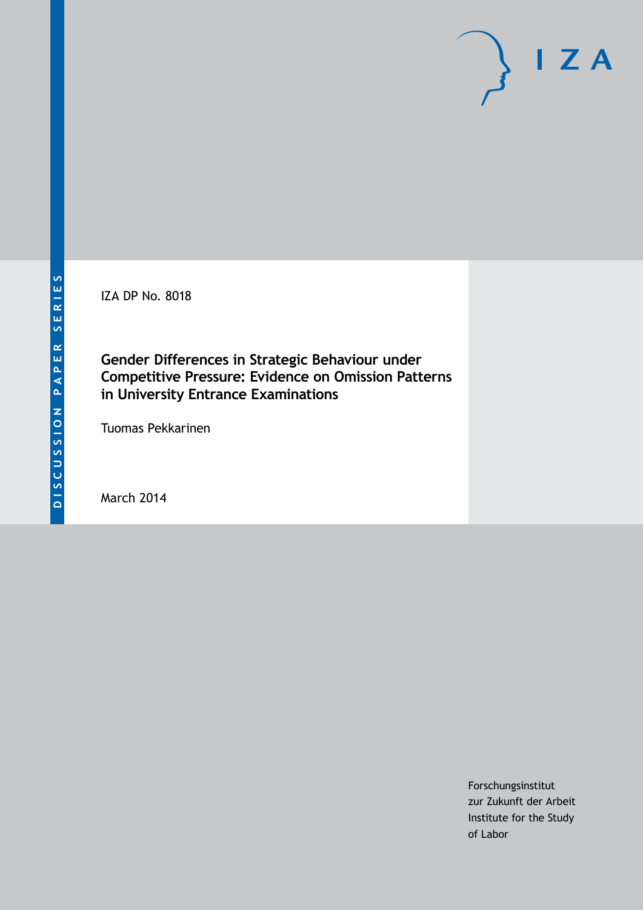IZA DP No. 8018

**Gender Differences in Strategic Behaviour under Competitive Pressure: Evidence on Omission Patterns in University Entrance Examinations**

Tuomas Pekkarinen

March 2014

Forschungsinstitut zur Zukunft der Arbeit Institute for the Study of Labor

 $I Z A$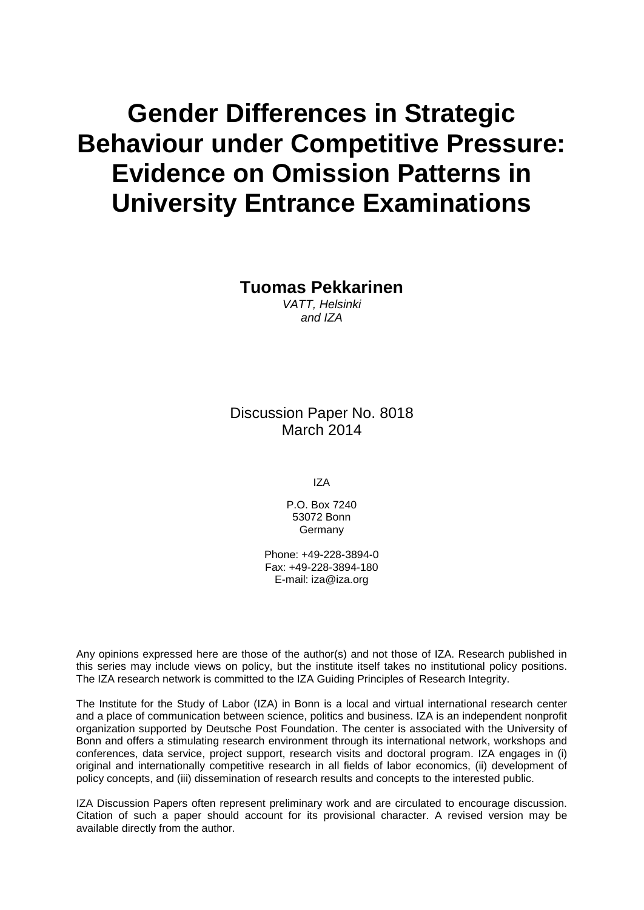# **Gender Differences in Strategic Behaviour under Competitive Pressure: Evidence on Omission Patterns in University Entrance Examinations**

**Tuomas Pekkarinen**

*VATT, Helsinki and IZA*

Discussion Paper No. 8018 March 2014

IZA

P.O. Box 7240 53072 Bonn **Germany** 

Phone: +49-228-3894-0 Fax: +49-228-3894-180 E-mail: [iza@iza.org](mailto:iza@iza.org)

Any opinions expressed here are those of the author(s) and not those of IZA. Research published in this series may include views on policy, but the institute itself takes no institutional policy positions. The IZA research network is committed to the IZA Guiding Principles of Research Integrity.

The Institute for the Study of Labor (IZA) in Bonn is a local and virtual international research center and a place of communication between science, politics and business. IZA is an independent nonprofit organization supported by Deutsche Post Foundation. The center is associated with the University of Bonn and offers a stimulating research environment through its international network, workshops and conferences, data service, project support, research visits and doctoral program. IZA engages in (i) original and internationally competitive research in all fields of labor economics, (ii) development of policy concepts, and (iii) dissemination of research results and concepts to the interested public.

<span id="page-1-0"></span>IZA Discussion Papers often represent preliminary work and are circulated to encourage discussion. Citation of such a paper should account for its provisional character. A revised version may be available directly from the author.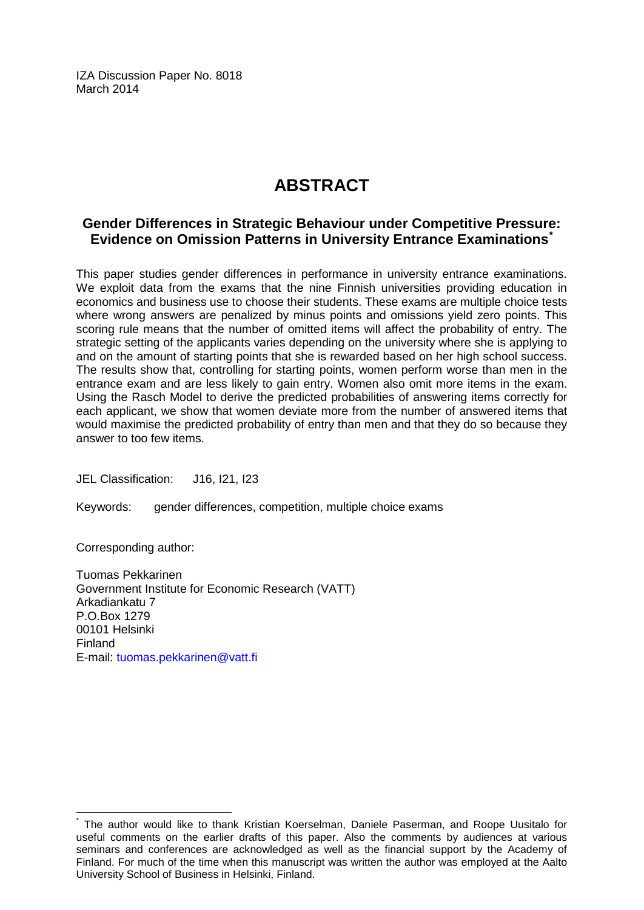IZA Discussion Paper No. 8018 March 2014

## **ABSTRACT**

## **Gender Differences in Strategic Behaviour under Competitive Pressure: Evidence on Omission Patterns in University Entrance Examinations[\\*](#page-1-0)**

This paper studies gender differences in performance in university entrance examinations. We exploit data from the exams that the nine Finnish universities providing education in economics and business use to choose their students. These exams are multiple choice tests where wrong answers are penalized by minus points and omissions yield zero points. This scoring rule means that the number of omitted items will affect the probability of entry. The strategic setting of the applicants varies depending on the university where she is applying to and on the amount of starting points that she is rewarded based on her high school success. The results show that, controlling for starting points, women perform worse than men in the entrance exam and are less likely to gain entry. Women also omit more items in the exam. Using the Rasch Model to derive the predicted probabilities of answering items correctly for each applicant, we show that women deviate more from the number of answered items that would maximise the predicted probability of entry than men and that they do so because they answer to too few items.

JEL Classification: J16, I21, I23

Keywords: gender differences, competition, multiple choice exams

Corresponding author:

Tuomas Pekkarinen Government Institute for Economic Research (VATT) Arkadiankatu 7 P.O.Box 1279 00101 Helsinki Finland E-mail: [tuomas.pekkarinen@vatt.fi](mailto:tuomas.pekkarinen@vatt.fi)

The author would like to thank Kristian Koerselman, Daniele Paserman, and Roope Uusitalo for useful comments on the earlier drafts of this paper. Also the comments by audiences at various seminars and conferences are acknowledged as well as the financial support by the Academy of Finland. For much of the time when this manuscript was written the author was employed at the Aalto University School of Business in Helsinki, Finland.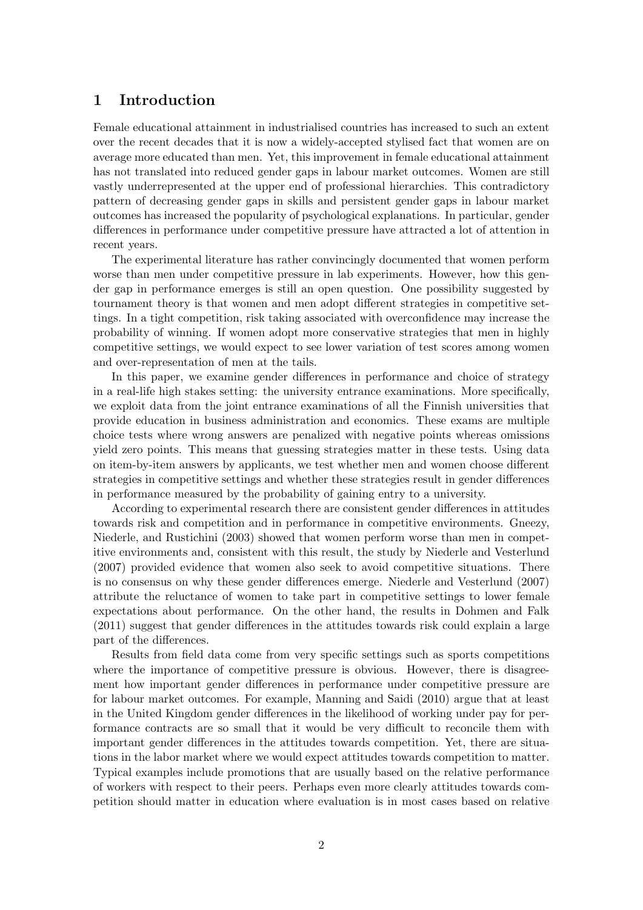## 1 Introduction

Female educational attainment in industrialised countries has increased to such an extent over the recent decades that it is now a widely-accepted stylised fact that women are on average more educated than men. Yet, this improvement in female educational attainment has not translated into reduced gender gaps in labour market outcomes. Women are still vastly underrepresented at the upper end of professional hierarchies. This contradictory pattern of decreasing gender gaps in skills and persistent gender gaps in labour market outcomes has increased the popularity of psychological explanations. In particular, gender differences in performance under competitive pressure have attracted a lot of attention in recent years.

The experimental literature has rather convincingly documented that women perform worse than men under competitive pressure in lab experiments. However, how this gender gap in performance emerges is still an open question. One possibility suggested by tournament theory is that women and men adopt different strategies in competitive settings. In a tight competition, risk taking associated with overconfidence may increase the probability of winning. If women adopt more conservative strategies that men in highly competitive settings, we would expect to see lower variation of test scores among women and over-representation of men at the tails.

In this paper, we examine gender differences in performance and choice of strategy in a real-life high stakes setting: the university entrance examinations. More specifically, we exploit data from the joint entrance examinations of all the Finnish universities that provide education in business administration and economics. These exams are multiple choice tests where wrong answers are penalized with negative points whereas omissions yield zero points. This means that guessing strategies matter in these tests. Using data on item-by-item answers by applicants, we test whether men and women choose different strategies in competitive settings and whether these strategies result in gender differences in performance measured by the probability of gaining entry to a university.

According to experimental research there are consistent gender differences in attitudes towards risk and competition and in performance in competitive environments. Gneezy, Niederle, and Rustichini (2003) showed that women perform worse than men in competitive environments and, consistent with this result, the study by Niederle and Vesterlund (2007) provided evidence that women also seek to avoid competitive situations. There is no consensus on why these gender differences emerge. Niederle and Vesterlund (2007) attribute the reluctance of women to take part in competitive settings to lower female expectations about performance. On the other hand, the results in Dohmen and Falk (2011) suggest that gender differences in the attitudes towards risk could explain a large part of the differences.

Results from field data come from very specific settings such as sports competitions where the importance of competitive pressure is obvious. However, there is disagreement how important gender differences in performance under competitive pressure are for labour market outcomes. For example, Manning and Saidi (2010) argue that at least in the United Kingdom gender differences in the likelihood of working under pay for performance contracts are so small that it would be very difficult to reconcile them with important gender differences in the attitudes towards competition. Yet, there are situations in the labor market where we would expect attitudes towards competition to matter. Typical examples include promotions that are usually based on the relative performance of workers with respect to their peers. Perhaps even more clearly attitudes towards competition should matter in education where evaluation is in most cases based on relative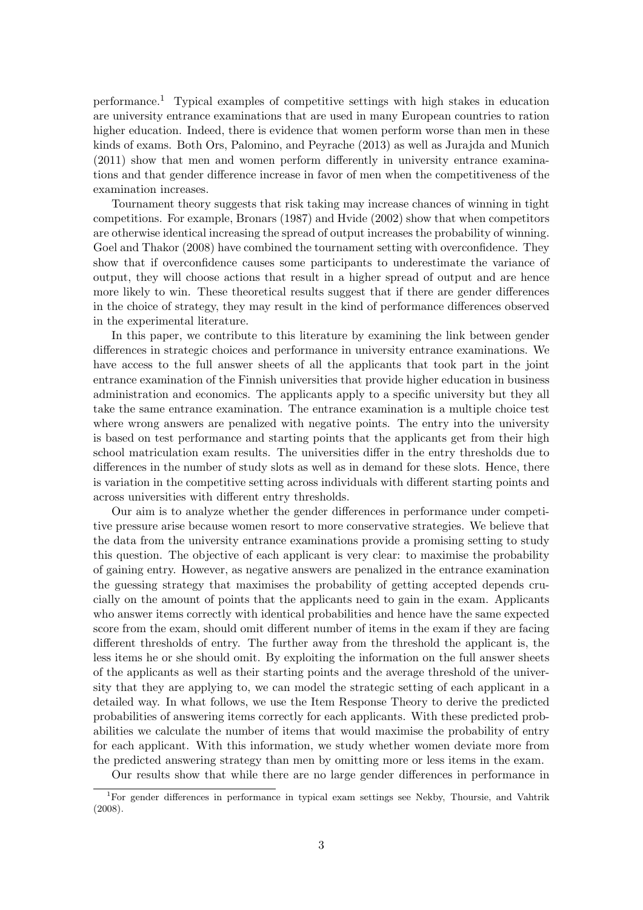performance.<sup>1</sup> Typical examples of competitive settings with high stakes in education are university entrance examinations that are used in many European countries to ration higher education. Indeed, there is evidence that women perform worse than men in these kinds of exams. Both Ors, Palomino, and Peyrache (2013) as well as Jurajda and Munich (2011) show that men and women perform differently in university entrance examinations and that gender difference increase in favor of men when the competitiveness of the examination increases.

Tournament theory suggests that risk taking may increase chances of winning in tight competitions. For example, Bronars (1987) and Hvide (2002) show that when competitors are otherwise identical increasing the spread of output increases the probability of winning. Goel and Thakor (2008) have combined the tournament setting with overconfidence. They show that if overconfidence causes some participants to underestimate the variance of output, they will choose actions that result in a higher spread of output and are hence more likely to win. These theoretical results suggest that if there are gender differences in the choice of strategy, they may result in the kind of performance differences observed in the experimental literature.

In this paper, we contribute to this literature by examining the link between gender differences in strategic choices and performance in university entrance examinations. We have access to the full answer sheets of all the applicants that took part in the joint entrance examination of the Finnish universities that provide higher education in business administration and economics. The applicants apply to a specific university but they all take the same entrance examination. The entrance examination is a multiple choice test where wrong answers are penalized with negative points. The entry into the university is based on test performance and starting points that the applicants get from their high school matriculation exam results. The universities differ in the entry thresholds due to differences in the number of study slots as well as in demand for these slots. Hence, there is variation in the competitive setting across individuals with different starting points and across universities with different entry thresholds.

Our aim is to analyze whether the gender differences in performance under competitive pressure arise because women resort to more conservative strategies. We believe that the data from the university entrance examinations provide a promising setting to study this question. The objective of each applicant is very clear: to maximise the probability of gaining entry. However, as negative answers are penalized in the entrance examination the guessing strategy that maximises the probability of getting accepted depends crucially on the amount of points that the applicants need to gain in the exam. Applicants who answer items correctly with identical probabilities and hence have the same expected score from the exam, should omit different number of items in the exam if they are facing different thresholds of entry. The further away from the threshold the applicant is, the less items he or she should omit. By exploiting the information on the full answer sheets of the applicants as well as their starting points and the average threshold of the university that they are applying to, we can model the strategic setting of each applicant in a detailed way. In what follows, we use the Item Response Theory to derive the predicted probabilities of answering items correctly for each applicants. With these predicted probabilities we calculate the number of items that would maximise the probability of entry for each applicant. With this information, we study whether women deviate more from the predicted answering strategy than men by omitting more or less items in the exam.

Our results show that while there are no large gender differences in performance in

<sup>1</sup>For gender differences in performance in typical exam settings see Nekby, Thoursie, and Vahtrik (2008).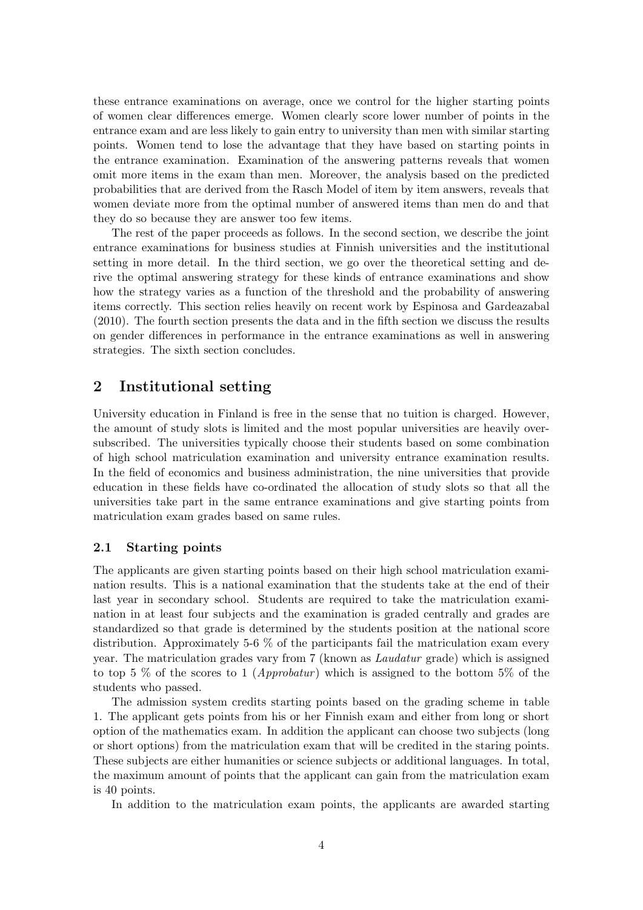these entrance examinations on average, once we control for the higher starting points of women clear differences emerge. Women clearly score lower number of points in the entrance exam and are less likely to gain entry to university than men with similar starting points. Women tend to lose the advantage that they have based on starting points in the entrance examination. Examination of the answering patterns reveals that women omit more items in the exam than men. Moreover, the analysis based on the predicted probabilities that are derived from the Rasch Model of item by item answers, reveals that women deviate more from the optimal number of answered items than men do and that they do so because they are answer too few items.

The rest of the paper proceeds as follows. In the second section, we describe the joint entrance examinations for business studies at Finnish universities and the institutional setting in more detail. In the third section, we go over the theoretical setting and derive the optimal answering strategy for these kinds of entrance examinations and show how the strategy varies as a function of the threshold and the probability of answering items correctly. This section relies heavily on recent work by Espinosa and Gardeazabal (2010). The fourth section presents the data and in the fifth section we discuss the results on gender differences in performance in the entrance examinations as well in answering strategies. The sixth section concludes.

## 2 Institutional setting

University education in Finland is free in the sense that no tuition is charged. However, the amount of study slots is limited and the most popular universities are heavily oversubscribed. The universities typically choose their students based on some combination of high school matriculation examination and university entrance examination results. In the field of economics and business administration, the nine universities that provide education in these fields have co-ordinated the allocation of study slots so that all the universities take part in the same entrance examinations and give starting points from matriculation exam grades based on same rules.

#### 2.1 Starting points

The applicants are given starting points based on their high school matriculation examination results. This is a national examination that the students take at the end of their last year in secondary school. Students are required to take the matriculation examination in at least four subjects and the examination is graded centrally and grades are standardized so that grade is determined by the students position at the national score distribution. Approximately 5-6 % of the participants fail the matriculation exam every year. The matriculation grades vary from 7 (known as Laudatur grade) which is assigned to top 5 % of the scores to 1 (*Approbatur*) which is assigned to the bottom 5% of the students who passed.

The admission system credits starting points based on the grading scheme in table 1. The applicant gets points from his or her Finnish exam and either from long or short option of the mathematics exam. In addition the applicant can choose two subjects (long or short options) from the matriculation exam that will be credited in the staring points. These subjects are either humanities or science subjects or additional languages. In total, the maximum amount of points that the applicant can gain from the matriculation exam is 40 points.

In addition to the matriculation exam points, the applicants are awarded starting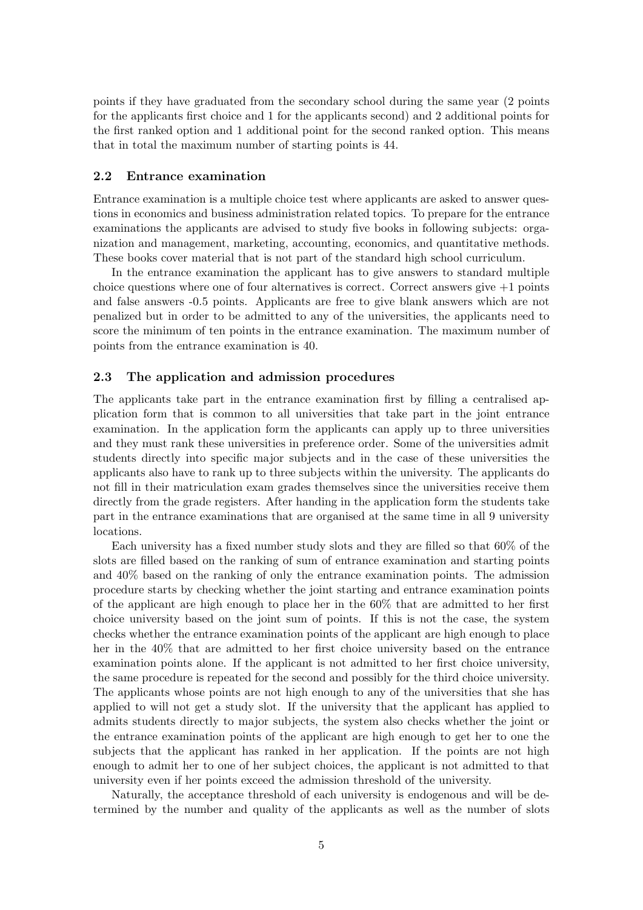points if they have graduated from the secondary school during the same year (2 points for the applicants first choice and 1 for the applicants second) and 2 additional points for the first ranked option and 1 additional point for the second ranked option. This means that in total the maximum number of starting points is 44.

#### 2.2 Entrance examination

Entrance examination is a multiple choice test where applicants are asked to answer questions in economics and business administration related topics. To prepare for the entrance examinations the applicants are advised to study five books in following subjects: organization and management, marketing, accounting, economics, and quantitative methods. These books cover material that is not part of the standard high school curriculum.

In the entrance examination the applicant has to give answers to standard multiple choice questions where one of four alternatives is correct. Correct answers give  $+1$  points and false answers -0.5 points. Applicants are free to give blank answers which are not penalized but in order to be admitted to any of the universities, the applicants need to score the minimum of ten points in the entrance examination. The maximum number of points from the entrance examination is 40.

#### 2.3 The application and admission procedures

The applicants take part in the entrance examination first by filling a centralised application form that is common to all universities that take part in the joint entrance examination. In the application form the applicants can apply up to three universities and they must rank these universities in preference order. Some of the universities admit students directly into specific major subjects and in the case of these universities the applicants also have to rank up to three subjects within the university. The applicants do not fill in their matriculation exam grades themselves since the universities receive them directly from the grade registers. After handing in the application form the students take part in the entrance examinations that are organised at the same time in all 9 university locations.

Each university has a fixed number study slots and they are filled so that 60% of the slots are filled based on the ranking of sum of entrance examination and starting points and 40% based on the ranking of only the entrance examination points. The admission procedure starts by checking whether the joint starting and entrance examination points of the applicant are high enough to place her in the 60% that are admitted to her first choice university based on the joint sum of points. If this is not the case, the system checks whether the entrance examination points of the applicant are high enough to place her in the 40% that are admitted to her first choice university based on the entrance examination points alone. If the applicant is not admitted to her first choice university, the same procedure is repeated for the second and possibly for the third choice university. The applicants whose points are not high enough to any of the universities that she has applied to will not get a study slot. If the university that the applicant has applied to admits students directly to major subjects, the system also checks whether the joint or the entrance examination points of the applicant are high enough to get her to one the subjects that the applicant has ranked in her application. If the points are not high enough to admit her to one of her subject choices, the applicant is not admitted to that university even if her points exceed the admission threshold of the university.

Naturally, the acceptance threshold of each university is endogenous and will be determined by the number and quality of the applicants as well as the number of slots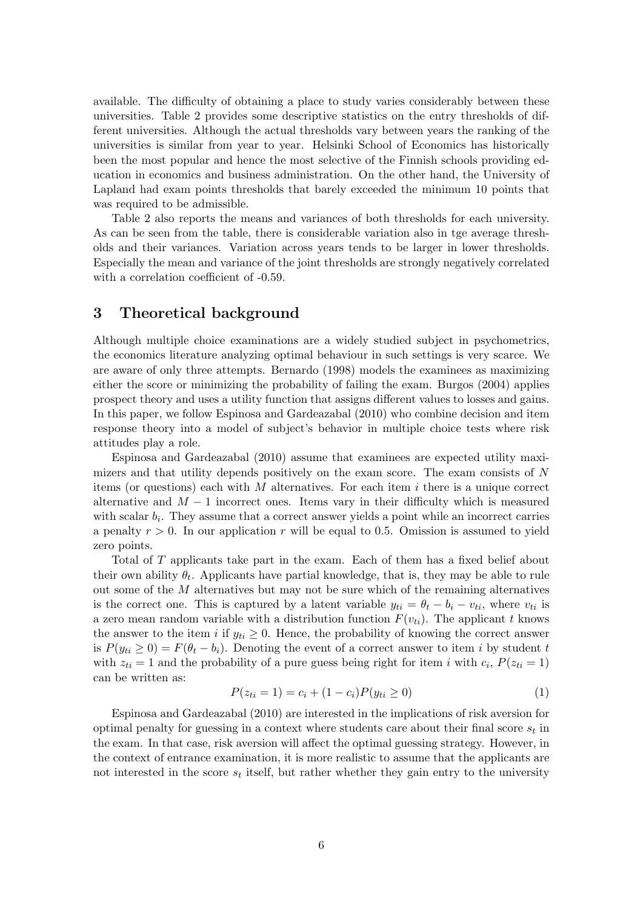available. The difficulty of obtaining a place to study varies considerably between these universities. Table 2 provides some descriptive statistics on the entry thresholds of different universities. Although the actual thresholds vary between years the ranking of the universities is similar from year to year. Helsinki School of Economics has historically been the most popular and hence the most selective of the Finnish schools providing education in economics and business administration. On the other hand, the University of Lapland had exam points thresholds that barely exceeded the minimum 10 points that was required to be admissible.

Table 2 also reports the means and variances of both thresholds for each university. As can be seen from the table, there is considerable variation also in tge average thresholds and their variances. Variation across years tends to be larger in lower thresholds. Especially the mean and variance of the joint thresholds are strongly negatively correlated with a correlation coefficient of -0.59.

## 3 Theoretical background

Although multiple choice examinations are a widely studied subject in psychometrics, the economics literature analyzing optimal behaviour in such settings is very scarce. We are aware of only three attempts. Bernardo (1998) models the examinees as maximizing either the score or minimizing the probability of failing the exam. Burgos (2004) applies prospect theory and uses a utility function that assigns different values to losses and gains. In this paper, we follow Espinosa and Gardeazabal (2010) who combine decision and item response theory into a model of subject's behavior in multiple choice tests where risk attitudes play a role.

Espinosa and Gardeazabal (2010) assume that examinees are expected utility maximizers and that utility depends positively on the exam score. The exam consists of N items (or questions) each with M alternatives. For each item  $i$  there is a unique correct alternative and  $M-1$  incorrect ones. Items vary in their difficulty which is measured with scalar  $b_i$ . They assume that a correct answer yields a point while an incorrect carries a penalty  $r > 0$ . In our application r will be equal to 0.5. Omission is assumed to yield zero points.

Total of T applicants take part in the exam. Each of them has a fixed belief about their own ability  $\theta_t$ . Applicants have partial knowledge, that is, they may be able to rule out some of the  $M$  alternatives but may not be sure which of the remaining alternatives is the correct one. This is captured by a latent variable  $y_{ti} = \theta_t - b_i - v_{ti}$ , where  $v_{ti}$  is a zero mean random variable with a distribution function  $F(v_{ti})$ . The applicant t knows the answer to the item i if  $y_{ti} \geq 0$ . Hence, the probability of knowing the correct answer is  $P(y_{ti} \geq 0) = F(\theta_t - b_i)$ . Denoting the event of a correct answer to item i by student t with  $z_{ti} = 1$  and the probability of a pure guess being right for item i with  $c_i$ ,  $P(z_{ti} = 1)$ can be written as:

$$
P(z_{ti} = 1) = c_i + (1 - c_i)P(y_{ti} \ge 0)
$$
\n(1)

Espinosa and Gardeazabal (2010) are interested in the implications of risk aversion for optimal penalty for guessing in a context where students care about their final score  $s_t$  in the exam. In that case, risk aversion will affect the optimal guessing strategy. However, in the context of entrance examination, it is more realistic to assume that the applicants are not interested in the score  $s_t$  itself, but rather whether they gain entry to the university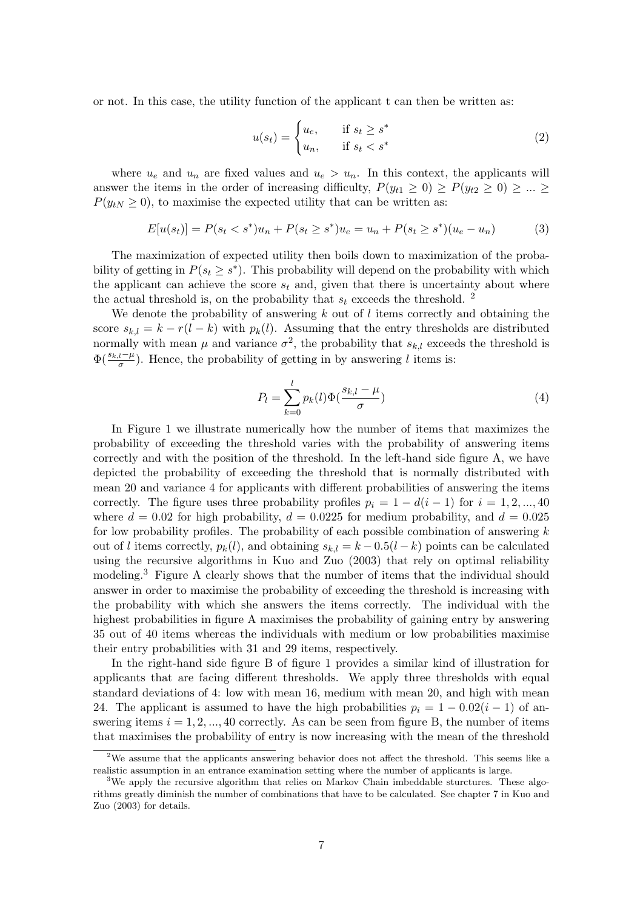or not. In this case, the utility function of the applicant t can then be written as:

$$
u(s_t) = \begin{cases} u_e, & \text{if } s_t \ge s^* \\ u_n, & \text{if } s_t < s^* \end{cases} \tag{2}
$$

where  $u_e$  and  $u_n$  are fixed values and  $u_e > u_n$ . In this context, the applicants will answer the items in the order of increasing difficulty,  $P(y_{t1} \ge 0) \ge P(y_{t2} \ge 0) \ge ... \ge$  $P(y_{tN} \geq 0)$ , to maximise the expected utility that can be written as:

$$
E[u(s_t)] = P(s_t < s^*)u_n + P(s_t \ge s^*)u_e = u_n + P(s_t \ge s^*)(u_e - u_n) \tag{3}
$$

The maximization of expected utility then boils down to maximization of the probability of getting in  $P(s_t \geq s^*)$ . This probability will depend on the probability with which the applicant can achieve the score  $s_t$  and, given that there is uncertainty about where the actual threshold is, on the probability that  $s_t$  exceeds the threshold. <sup>2</sup>

We denote the probability of answering  $k$  out of  $l$  items correctly and obtaining the score  $s_{k,l} = k - r(l - k)$  with  $p_k(l)$ . Assuming that the entry thresholds are distributed normally with mean  $\mu$  and variance  $\sigma^2$ , the probability that  $s_{k,l}$  exceeds the threshold is  $\Phi(\frac{s_{k,l}-\mu}{\sigma})$ . Hence, the probability of getting in by answering l items is:

$$
P_l = \sum_{k=0}^{l} p_k(l) \Phi\left(\frac{s_{k,l} - \mu}{\sigma}\right)
$$
\n<sup>(4)</sup>

In Figure 1 we illustrate numerically how the number of items that maximizes the probability of exceeding the threshold varies with the probability of answering items correctly and with the position of the threshold. In the left-hand side figure A, we have depicted the probability of exceeding the threshold that is normally distributed with mean 20 and variance 4 for applicants with different probabilities of answering the items correctly. The figure uses three probability profiles  $p_i = 1 - d(i - 1)$  for  $i = 1, 2, ..., 40$ where  $d = 0.02$  for high probability,  $d = 0.0225$  for medium probability, and  $d = 0.025$ for low probability profiles. The probability of each possible combination of answering k out of l items correctly,  $p_k(l)$ , and obtaining  $s_{k,l} = k - 0.5(l - k)$  points can be calculated using the recursive algorithms in Kuo and Zuo (2003) that rely on optimal reliability modeling.<sup>3</sup> Figure A clearly shows that the number of items that the individual should answer in order to maximise the probability of exceeding the threshold is increasing with the probability with which she answers the items correctly. The individual with the highest probabilities in figure A maximises the probability of gaining entry by answering 35 out of 40 items whereas the individuals with medium or low probabilities maximise their entry probabilities with 31 and 29 items, respectively.

In the right-hand side figure B of figure 1 provides a similar kind of illustration for applicants that are facing different thresholds. We apply three thresholds with equal standard deviations of 4: low with mean 16, medium with mean 20, and high with mean 24. The applicant is assumed to have the high probabilities  $p_i = 1 - 0.02(i - 1)$  of answering items  $i = 1, 2, ..., 40$  correctly. As can be seen from figure B, the number of items that maximises the probability of entry is now increasing with the mean of the threshold

<sup>&</sup>lt;sup>2</sup>We assume that the applicants answering behavior does not affect the threshold. This seems like a realistic assumption in an entrance examination setting where the number of applicants is large.

<sup>&</sup>lt;sup>3</sup>We apply the recursive algorithm that relies on Markov Chain imbeddable sturctures. These algorithms greatly diminish the number of combinations that have to be calculated. See chapter 7 in Kuo and Zuo (2003) for details.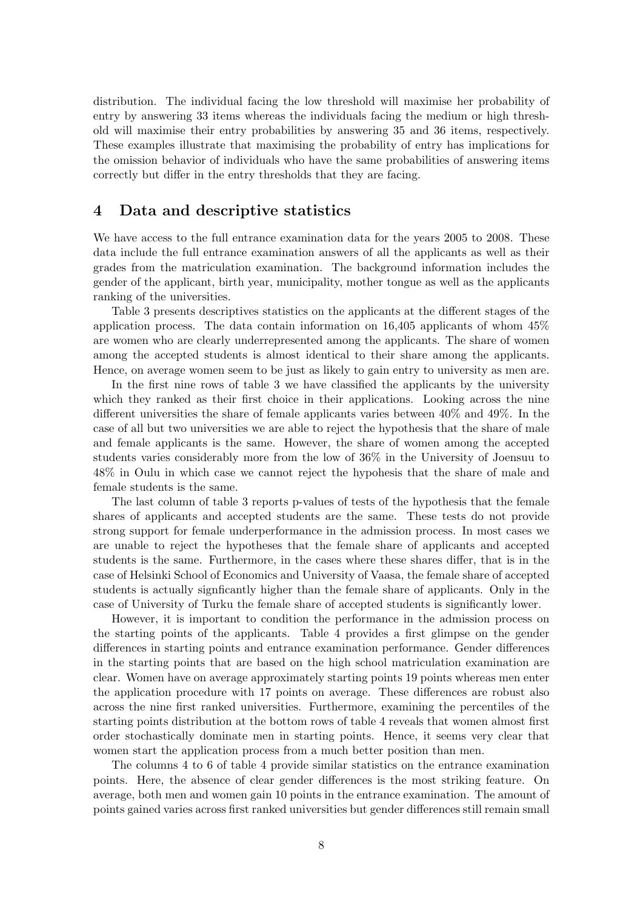distribution. The individual facing the low threshold will maximise her probability of entry by answering 33 items whereas the individuals facing the medium or high threshold will maximise their entry probabilities by answering 35 and 36 items, respectively. These examples illustrate that maximising the probability of entry has implications for the omission behavior of individuals who have the same probabilities of answering items correctly but differ in the entry thresholds that they are facing.

## 4 Data and descriptive statistics

We have access to the full entrance examination data for the years 2005 to 2008. These data include the full entrance examination answers of all the applicants as well as their grades from the matriculation examination. The background information includes the gender of the applicant, birth year, municipality, mother tongue as well as the applicants ranking of the universities.

Table 3 presents descriptives statistics on the applicants at the different stages of the application process. The data contain information on 16,405 applicants of whom 45% are women who are clearly underrepresented among the applicants. The share of women among the accepted students is almost identical to their share among the applicants. Hence, on average women seem to be just as likely to gain entry to university as men are.

In the first nine rows of table 3 we have classified the applicants by the university which they ranked as their first choice in their applications. Looking across the nine different universities the share of female applicants varies between 40% and 49%. In the case of all but two universities we are able to reject the hypothesis that the share of male and female applicants is the same. However, the share of women among the accepted students varies considerably more from the low of 36% in the University of Joensuu to 48% in Oulu in which case we cannot reject the hypohesis that the share of male and female students is the same.

The last column of table 3 reports p-values of tests of the hypothesis that the female shares of applicants and accepted students are the same. These tests do not provide strong support for female underperformance in the admission process. In most cases we are unable to reject the hypotheses that the female share of applicants and accepted students is the same. Furthermore, in the cases where these shares differ, that is in the case of Helsinki School of Economics and University of Vaasa, the female share of accepted students is actually signficantly higher than the female share of applicants. Only in the case of University of Turku the female share of accepted students is significantly lower.

However, it is important to condition the performance in the admission process on the starting points of the applicants. Table 4 provides a first glimpse on the gender differences in starting points and entrance examination performance. Gender differences in the starting points that are based on the high school matriculation examination are clear. Women have on average approximately starting points 19 points whereas men enter the application procedure with 17 points on average. These differences are robust also across the nine first ranked universities. Furthermore, examining the percentiles of the starting points distribution at the bottom rows of table 4 reveals that women almost first order stochastically dominate men in starting points. Hence, it seems very clear that women start the application process from a much better position than men.

The columns 4 to 6 of table 4 provide similar statistics on the entrance examination points. Here, the absence of clear gender differences is the most striking feature. On average, both men and women gain 10 points in the entrance examination. The amount of points gained varies across first ranked universities but gender differences still remain small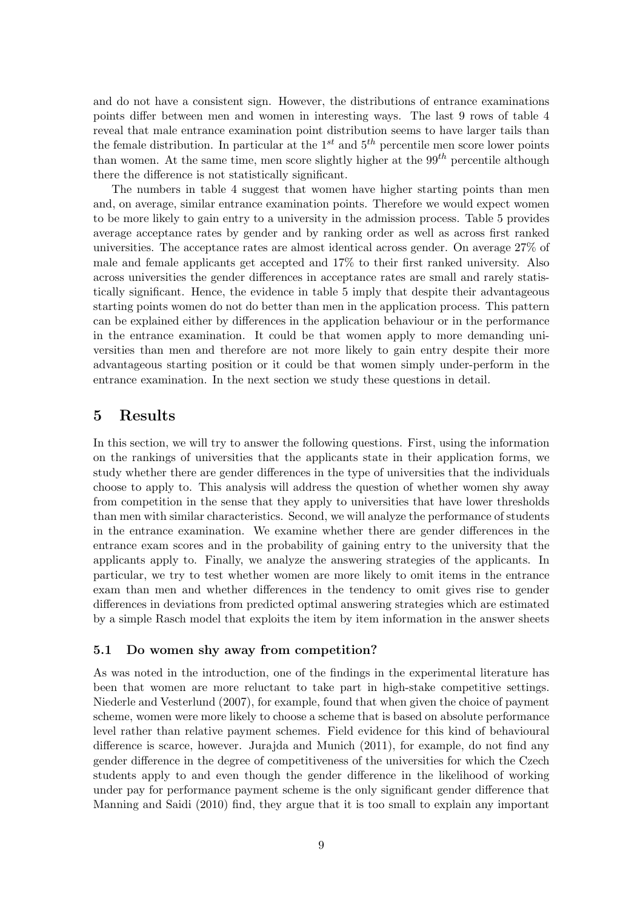and do not have a consistent sign. However, the distributions of entrance examinations points differ between men and women in interesting ways. The last 9 rows of table 4 reveal that male entrance examination point distribution seems to have larger tails than the female distribution. In particular at the  $1^{st}$  and  $5^{th}$  percentile men score lower points than women. At the same time, men score slightly higher at the  $99<sup>th</sup>$  percentile although there the difference is not statistically significant.

The numbers in table 4 suggest that women have higher starting points than men and, on average, similar entrance examination points. Therefore we would expect women to be more likely to gain entry to a university in the admission process. Table 5 provides average acceptance rates by gender and by ranking order as well as across first ranked universities. The acceptance rates are almost identical across gender. On average 27% of male and female applicants get accepted and 17% to their first ranked university. Also across universities the gender differences in acceptance rates are small and rarely statistically significant. Hence, the evidence in table 5 imply that despite their advantageous starting points women do not do better than men in the application process. This pattern can be explained either by differences in the application behaviour or in the performance in the entrance examination. It could be that women apply to more demanding universities than men and therefore are not more likely to gain entry despite their more advantageous starting position or it could be that women simply under-perform in the entrance examination. In the next section we study these questions in detail.

## 5 Results

In this section, we will try to answer the following questions. First, using the information on the rankings of universities that the applicants state in their application forms, we study whether there are gender differences in the type of universities that the individuals choose to apply to. This analysis will address the question of whether women shy away from competition in the sense that they apply to universities that have lower thresholds than men with similar characteristics. Second, we will analyze the performance of students in the entrance examination. We examine whether there are gender differences in the entrance exam scores and in the probability of gaining entry to the university that the applicants apply to. Finally, we analyze the answering strategies of the applicants. In particular, we try to test whether women are more likely to omit items in the entrance exam than men and whether differences in the tendency to omit gives rise to gender differences in deviations from predicted optimal answering strategies which are estimated by a simple Rasch model that exploits the item by item information in the answer sheets

#### 5.1 Do women shy away from competition?

As was noted in the introduction, one of the findings in the experimental literature has been that women are more reluctant to take part in high-stake competitive settings. Niederle and Vesterlund (2007), for example, found that when given the choice of payment scheme, women were more likely to choose a scheme that is based on absolute performance level rather than relative payment schemes. Field evidence for this kind of behavioural difference is scarce, however. Jurajda and Munich (2011), for example, do not find any gender difference in the degree of competitiveness of the universities for which the Czech students apply to and even though the gender difference in the likelihood of working under pay for performance payment scheme is the only significant gender difference that Manning and Saidi (2010) find, they argue that it is too small to explain any important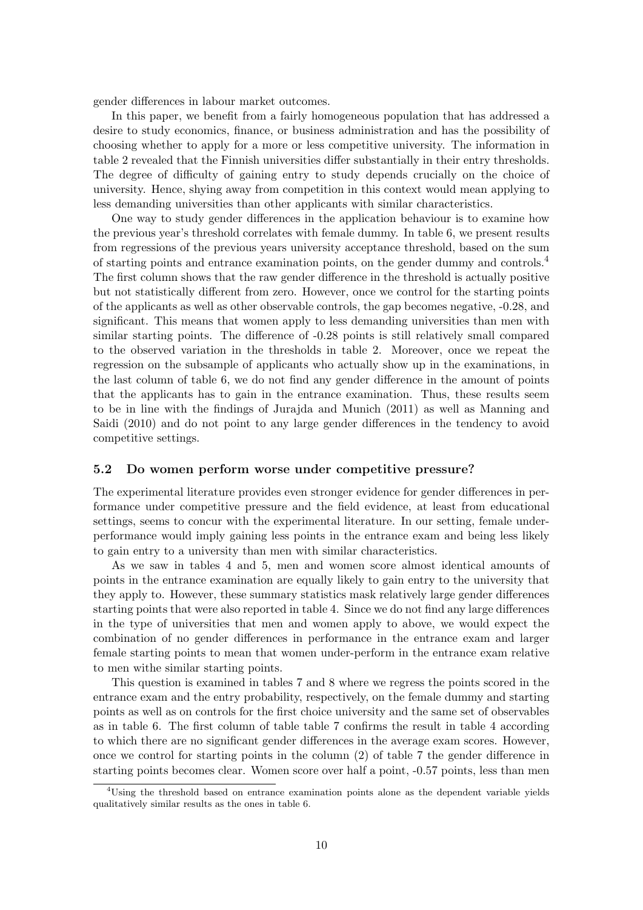gender differences in labour market outcomes.

In this paper, we benefit from a fairly homogeneous population that has addressed a desire to study economics, finance, or business administration and has the possibility of choosing whether to apply for a more or less competitive university. The information in table 2 revealed that the Finnish universities differ substantially in their entry thresholds. The degree of difficulty of gaining entry to study depends crucially on the choice of university. Hence, shying away from competition in this context would mean applying to less demanding universities than other applicants with similar characteristics.

One way to study gender differences in the application behaviour is to examine how the previous year's threshold correlates with female dummy. In table 6, we present results from regressions of the previous years university acceptance threshold, based on the sum of starting points and entrance examination points, on the gender dummy and controls.<sup>4</sup> The first column shows that the raw gender difference in the threshold is actually positive but not statistically different from zero. However, once we control for the starting points of the applicants as well as other observable controls, the gap becomes negative, -0.28, and significant. This means that women apply to less demanding universities than men with similar starting points. The difference of -0.28 points is still relatively small compared to the observed variation in the thresholds in table 2. Moreover, once we repeat the regression on the subsample of applicants who actually show up in the examinations, in the last column of table 6, we do not find any gender difference in the amount of points that the applicants has to gain in the entrance examination. Thus, these results seem to be in line with the findings of Jurajda and Munich (2011) as well as Manning and Saidi (2010) and do not point to any large gender differences in the tendency to avoid competitive settings.

#### 5.2 Do women perform worse under competitive pressure?

The experimental literature provides even stronger evidence for gender differences in performance under competitive pressure and the field evidence, at least from educational settings, seems to concur with the experimental literature. In our setting, female underperformance would imply gaining less points in the entrance exam and being less likely to gain entry to a university than men with similar characteristics.

As we saw in tables 4 and 5, men and women score almost identical amounts of points in the entrance examination are equally likely to gain entry to the university that they apply to. However, these summary statistics mask relatively large gender differences starting points that were also reported in table 4. Since we do not find any large differences in the type of universities that men and women apply to above, we would expect the combination of no gender differences in performance in the entrance exam and larger female starting points to mean that women under-perform in the entrance exam relative to men withe similar starting points.

This question is examined in tables 7 and 8 where we regress the points scored in the entrance exam and the entry probability, respectively, on the female dummy and starting points as well as on controls for the first choice university and the same set of observables as in table 6. The first column of table table 7 confirms the result in table 4 according to which there are no significant gender differences in the average exam scores. However, once we control for starting points in the column (2) of table 7 the gender difference in starting points becomes clear. Women score over half a point, -0.57 points, less than men

<sup>4</sup>Using the threshold based on entrance examination points alone as the dependent variable yields qualitatively similar results as the ones in table 6.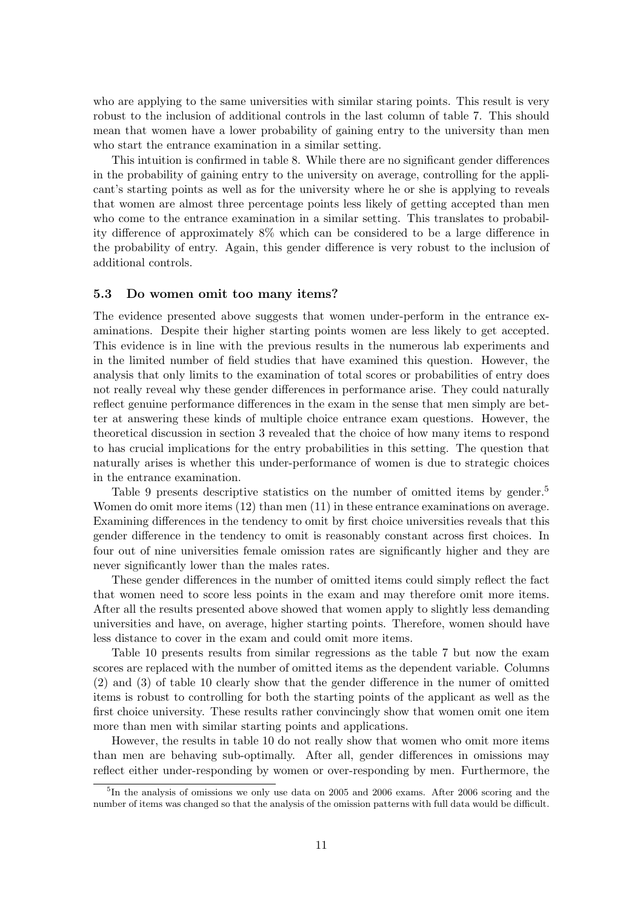who are applying to the same universities with similar staring points. This result is very robust to the inclusion of additional controls in the last column of table 7. This should mean that women have a lower probability of gaining entry to the university than men who start the entrance examination in a similar setting.

This intuition is confirmed in table 8. While there are no significant gender differences in the probability of gaining entry to the university on average, controlling for the applicant's starting points as well as for the university where he or she is applying to reveals that women are almost three percentage points less likely of getting accepted than men who come to the entrance examination in a similar setting. This translates to probability difference of approximately 8% which can be considered to be a large difference in the probability of entry. Again, this gender difference is very robust to the inclusion of additional controls.

#### 5.3 Do women omit too many items?

The evidence presented above suggests that women under-perform in the entrance examinations. Despite their higher starting points women are less likely to get accepted. This evidence is in line with the previous results in the numerous lab experiments and in the limited number of field studies that have examined this question. However, the analysis that only limits to the examination of total scores or probabilities of entry does not really reveal why these gender differences in performance arise. They could naturally reflect genuine performance differences in the exam in the sense that men simply are better at answering these kinds of multiple choice entrance exam questions. However, the theoretical discussion in section 3 revealed that the choice of how many items to respond to has crucial implications for the entry probabilities in this setting. The question that naturally arises is whether this under-performance of women is due to strategic choices in the entrance examination.

Table 9 presents descriptive statistics on the number of omitted items by gender.<sup>5</sup> Women do omit more items (12) than men (11) in these entrance examinations on average. Examining differences in the tendency to omit by first choice universities reveals that this gender difference in the tendency to omit is reasonably constant across first choices. In four out of nine universities female omission rates are significantly higher and they are never significantly lower than the males rates.

These gender differences in the number of omitted items could simply reflect the fact that women need to score less points in the exam and may therefore omit more items. After all the results presented above showed that women apply to slightly less demanding universities and have, on average, higher starting points. Therefore, women should have less distance to cover in the exam and could omit more items.

Table 10 presents results from similar regressions as the table 7 but now the exam scores are replaced with the number of omitted items as the dependent variable. Columns (2) and (3) of table 10 clearly show that the gender difference in the numer of omitted items is robust to controlling for both the starting points of the applicant as well as the first choice university. These results rather convincingly show that women omit one item more than men with similar starting points and applications.

However, the results in table 10 do not really show that women who omit more items than men are behaving sub-optimally. After all, gender differences in omissions may reflect either under-responding by women or over-responding by men. Furthermore, the

<sup>&</sup>lt;sup>5</sup>In the analysis of omissions we only use data on 2005 and 2006 exams. After 2006 scoring and the number of items was changed so that the analysis of the omission patterns with full data would be difficult.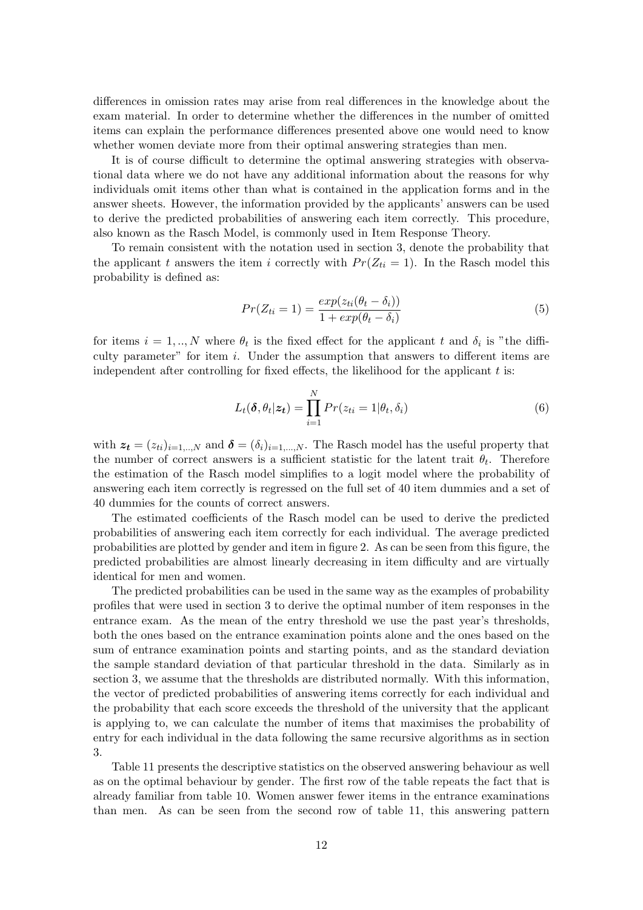differences in omission rates may arise from real differences in the knowledge about the exam material. In order to determine whether the differences in the number of omitted items can explain the performance differences presented above one would need to know whether women deviate more from their optimal answering strategies than men.

It is of course difficult to determine the optimal answering strategies with observational data where we do not have any additional information about the reasons for why individuals omit items other than what is contained in the application forms and in the answer sheets. However, the information provided by the applicants' answers can be used to derive the predicted probabilities of answering each item correctly. This procedure, also known as the Rasch Model, is commonly used in Item Response Theory.

To remain consistent with the notation used in section 3, denote the probability that the applicant t answers the item i correctly with  $Pr(Z_{ti} = 1)$ . In the Rasch model this probability is defined as:

$$
Pr(Z_{ti} = 1) = \frac{exp(z_{ti}(\theta_t - \delta_i))}{1 + exp(\theta_t - \delta_i)}
$$
\n
$$
(5)
$$

for items  $i = 1, ..., N$  where  $\theta_t$  is the fixed effect for the applicant t and  $\delta_i$  is "the difficulty parameter" for item  $i$ . Under the assumption that answers to different items are independent after controlling for fixed effects, the likelihood for the applicant  $t$  is:

$$
L_t(\boldsymbol{\delta}, \theta_t | \mathbf{z_t}) = \prod_{i=1}^N Pr(z_{ti} = 1 | \theta_t, \delta_i)
$$
\n(6)

with  $z_t = (z_{ti})_{i=1,\dots,N}$  and  $\boldsymbol{\delta} = (\delta_i)_{i=1,\dots,N}$ . The Rasch model has the useful property that the number of correct answers is a sufficient statistic for the latent trait  $\theta_t$ . Therefore the estimation of the Rasch model simplifies to a logit model where the probability of answering each item correctly is regressed on the full set of 40 item dummies and a set of 40 dummies for the counts of correct answers.

The estimated coefficients of the Rasch model can be used to derive the predicted probabilities of answering each item correctly for each individual. The average predicted probabilities are plotted by gender and item in figure 2. As can be seen from this figure, the predicted probabilities are almost linearly decreasing in item difficulty and are virtually identical for men and women.

The predicted probabilities can be used in the same way as the examples of probability profiles that were used in section 3 to derive the optimal number of item responses in the entrance exam. As the mean of the entry threshold we use the past year's thresholds, both the ones based on the entrance examination points alone and the ones based on the sum of entrance examination points and starting points, and as the standard deviation the sample standard deviation of that particular threshold in the data. Similarly as in section 3, we assume that the thresholds are distributed normally. With this information, the vector of predicted probabilities of answering items correctly for each individual and the probability that each score exceeds the threshold of the university that the applicant is applying to, we can calculate the number of items that maximises the probability of entry for each individual in the data following the same recursive algorithms as in section 3.

Table 11 presents the descriptive statistics on the observed answering behaviour as well as on the optimal behaviour by gender. The first row of the table repeats the fact that is already familiar from table 10. Women answer fewer items in the entrance examinations than men. As can be seen from the second row of table 11, this answering pattern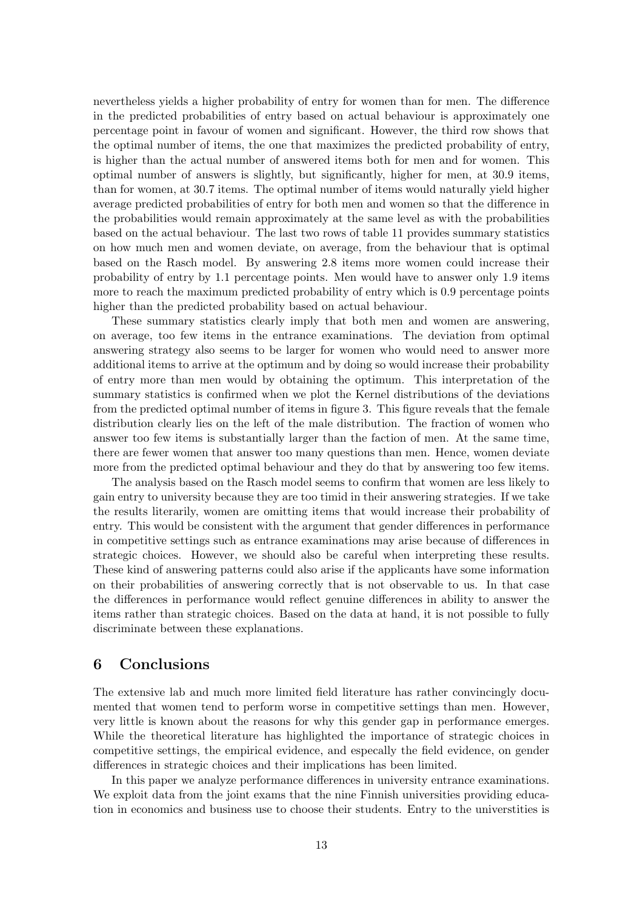nevertheless yields a higher probability of entry for women than for men. The difference in the predicted probabilities of entry based on actual behaviour is approximately one percentage point in favour of women and significant. However, the third row shows that the optimal number of items, the one that maximizes the predicted probability of entry, is higher than the actual number of answered items both for men and for women. This optimal number of answers is slightly, but significantly, higher for men, at 30.9 items, than for women, at 30.7 items. The optimal number of items would naturally yield higher average predicted probabilities of entry for both men and women so that the difference in the probabilities would remain approximately at the same level as with the probabilities based on the actual behaviour. The last two rows of table 11 provides summary statistics on how much men and women deviate, on average, from the behaviour that is optimal based on the Rasch model. By answering 2.8 items more women could increase their probability of entry by 1.1 percentage points. Men would have to answer only 1.9 items more to reach the maximum predicted probability of entry which is 0.9 percentage points higher than the predicted probability based on actual behaviour.

These summary statistics clearly imply that both men and women are answering, on average, too few items in the entrance examinations. The deviation from optimal answering strategy also seems to be larger for women who would need to answer more additional items to arrive at the optimum and by doing so would increase their probability of entry more than men would by obtaining the optimum. This interpretation of the summary statistics is confirmed when we plot the Kernel distributions of the deviations from the predicted optimal number of items in figure 3. This figure reveals that the female distribution clearly lies on the left of the male distribution. The fraction of women who answer too few items is substantially larger than the faction of men. At the same time, there are fewer women that answer too many questions than men. Hence, women deviate more from the predicted optimal behaviour and they do that by answering too few items.

The analysis based on the Rasch model seems to confirm that women are less likely to gain entry to university because they are too timid in their answering strategies. If we take the results literarily, women are omitting items that would increase their probability of entry. This would be consistent with the argument that gender differences in performance in competitive settings such as entrance examinations may arise because of differences in strategic choices. However, we should also be careful when interpreting these results. These kind of answering patterns could also arise if the applicants have some information on their probabilities of answering correctly that is not observable to us. In that case the differences in performance would reflect genuine differences in ability to answer the items rather than strategic choices. Based on the data at hand, it is not possible to fully discriminate between these explanations.

## 6 Conclusions

The extensive lab and much more limited field literature has rather convincingly documented that women tend to perform worse in competitive settings than men. However, very little is known about the reasons for why this gender gap in performance emerges. While the theoretical literature has highlighted the importance of strategic choices in competitive settings, the empirical evidence, and especally the field evidence, on gender differences in strategic choices and their implications has been limited.

In this paper we analyze performance differences in university entrance examinations. We exploit data from the joint exams that the nine Finnish universities providing education in economics and business use to choose their students. Entry to the universtities is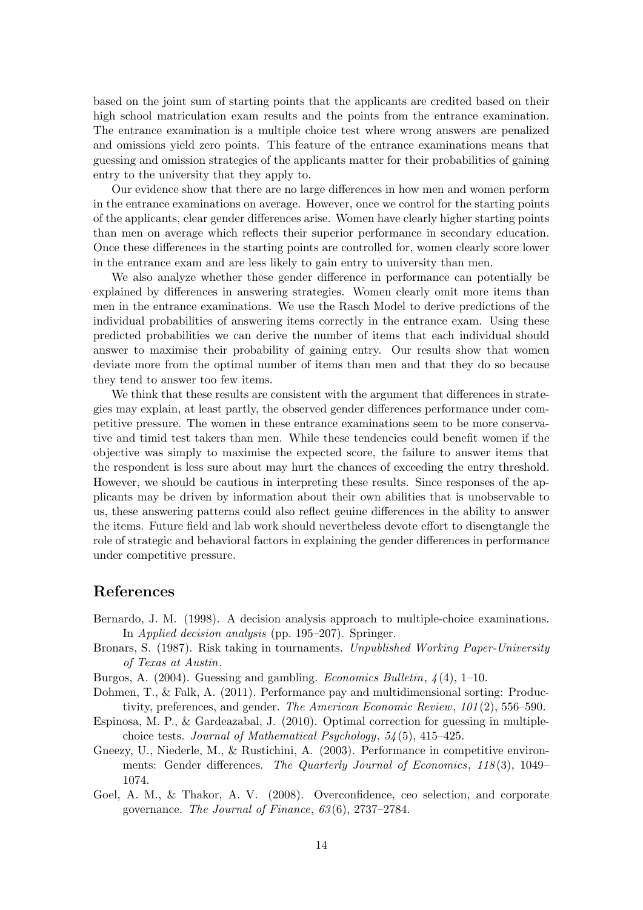based on the joint sum of starting points that the applicants are credited based on their high school matriculation exam results and the points from the entrance examination. The entrance examination is a multiple choice test where wrong answers are penalized and omissions yield zero points. This feature of the entrance examinations means that guessing and omission strategies of the applicants matter for their probabilities of gaining entry to the university that they apply to.

Our evidence show that there are no large differences in how men and women perform in the entrance examinations on average. However, once we control for the starting points of the applicants, clear gender differences arise. Women have clearly higher starting points than men on average which reflects their superior performance in secondary education. Once these differences in the starting points are controlled for, women clearly score lower in the entrance exam and are less likely to gain entry to university than men.

We also analyze whether these gender difference in performance can potentially be explained by differences in answering strategies. Women clearly omit more items than men in the entrance examinations. We use the Rasch Model to derive predictions of the individual probabilities of answering items correctly in the entrance exam. Using these predicted probabilities we can derive the number of items that each individual should answer to maximise their probability of gaining entry. Our results show that women deviate more from the optimal number of items than men and that they do so because they tend to answer too few items.

We think that these results are consistent with the argument that differences in strategies may explain, at least partly, the observed gender differences performance under competitive pressure. The women in these entrance examinations seem to be more conservative and timid test takers than men. While these tendencies could benefit women if the objective was simply to maximise the expected score, the failure to answer items that the respondent is less sure about may hurt the chances of exceeding the entry threshold. However, we should be cautious in interpreting these results. Since responses of the applicants may be driven by information about their own abilities that is unobservable to us, these answering patterns could also reflect geuine differences in the ability to answer the items. Future field and lab work should nevertheless devote effort to disengtangle the role of strategic and behavioral factors in explaining the gender differences in performance under competitive pressure.

### References

- Bernardo, J. M. (1998). A decision analysis approach to multiple-choice examinations. In Applied decision analysis (pp. 195–207). Springer.
- Bronars, S. (1987). Risk taking in tournaments. Unpublished Working Paper-University of Texas at Austin.
- Burgos, A.  $(2004)$ . Guessing and gambling. *Economics Bulletin*,  $\mathcal{A}(4)$ , 1–10.
- Dohmen, T., & Falk, A. (2011). Performance pay and multidimensional sorting: Productivity, preferences, and gender. The American Economic Review, 101 (2), 556–590.
- Espinosa, M. P., & Gardeazabal, J. (2010). Optimal correction for guessing in multiplechoice tests. Journal of Mathematical Psychology, 54 (5), 415–425.
- Gneezy, U., Niederle, M., & Rustichini, A. (2003). Performance in competitive environments: Gender differences. The Quarterly Journal of Economics, 118(3), 1049– 1074.
- Goel, A. M., & Thakor, A. V. (2008). Overconfidence, ceo selection, and corporate governance. The Journal of Finance, 63 (6), 2737–2784.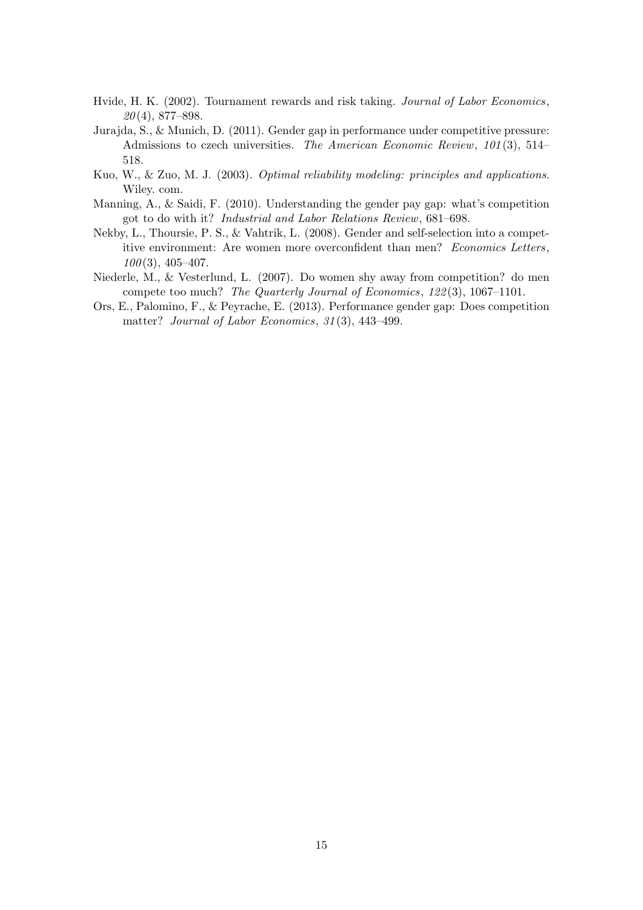- Hvide, H. K. (2002). Tournament rewards and risk taking. Journal of Labor Economics,  $20(4)$ , 877–898.
- Jurajda, S., & Munich, D. (2011). Gender gap in performance under competitive pressure: Admissions to czech universities. The American Economic Review, 101 (3), 514– 518.
- Kuo, W., & Zuo, M. J. (2003). Optimal reliability modeling: principles and applications. Wiley. com.
- Manning, A., & Saidi, F. (2010). Understanding the gender pay gap: what's competition got to do with it? Industrial and Labor Relations Review, 681–698.
- Nekby, L., Thoursie, P. S., & Vahtrik, L. (2008). Gender and self-selection into a competitive environment: Are women more overconfident than men? Economics Letters,  $100(3)$ , 405–407.
- Niederle, M., & Vesterlund, L. (2007). Do women shy away from competition? do men compete too much? The Quarterly Journal of Economics, 122 (3), 1067–1101.
- Ors, E., Palomino, F., & Peyrache, E. (2013). Performance gender gap: Does competition matter? Journal of Labor Economics, 31(3), 443-499.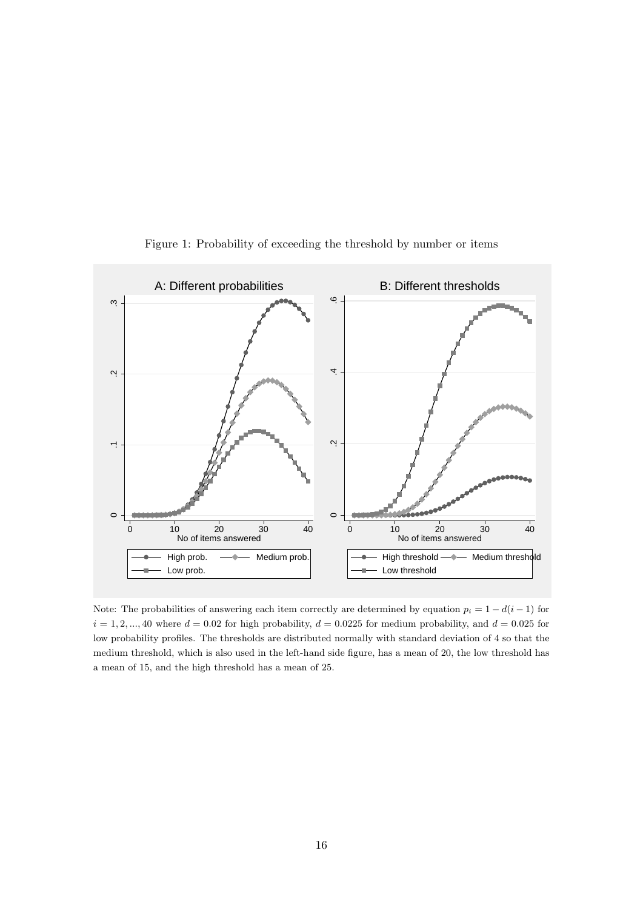

Figure 1: Probability of exceeding the threshold by number or items

Note: The probabilities of answering each item correctly are determined by equation  $p_i = 1 - d(i - 1)$  for  $i = 1, 2, ..., 40$  where  $d = 0.02$  for high probability,  $d = 0.0225$  for medium probability, and  $d = 0.025$  for low probability profiles. The thresholds are distributed normally with standard deviation of 4 so that the medium threshold, which is also used in the left-hand side figure, has a mean of 20, the low threshold has a mean of 15, and the high threshold has a mean of 25.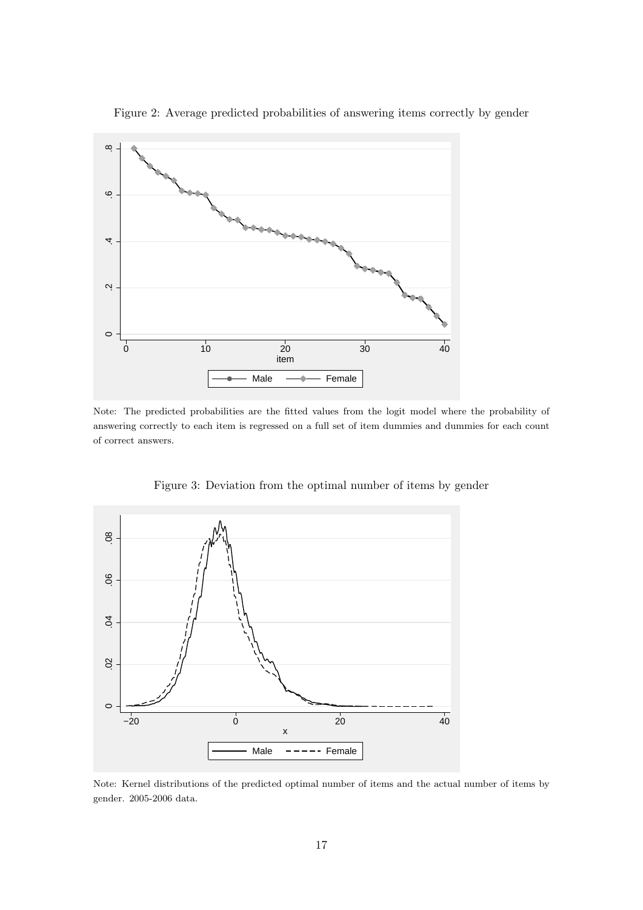

Figure 2: Average predicted probabilities of answering items correctly by gender

Note: The predicted probabilities are the fitted values from the logit model where the probability of answering correctly to each item is regressed on a full set of item dummies and dummies for each count of correct answers.



Figure 3: Deviation from the optimal number of items by gender

Note: Kernel distributions of the predicted optimal number of items and the actual number of items by gender. 2005-2006 data.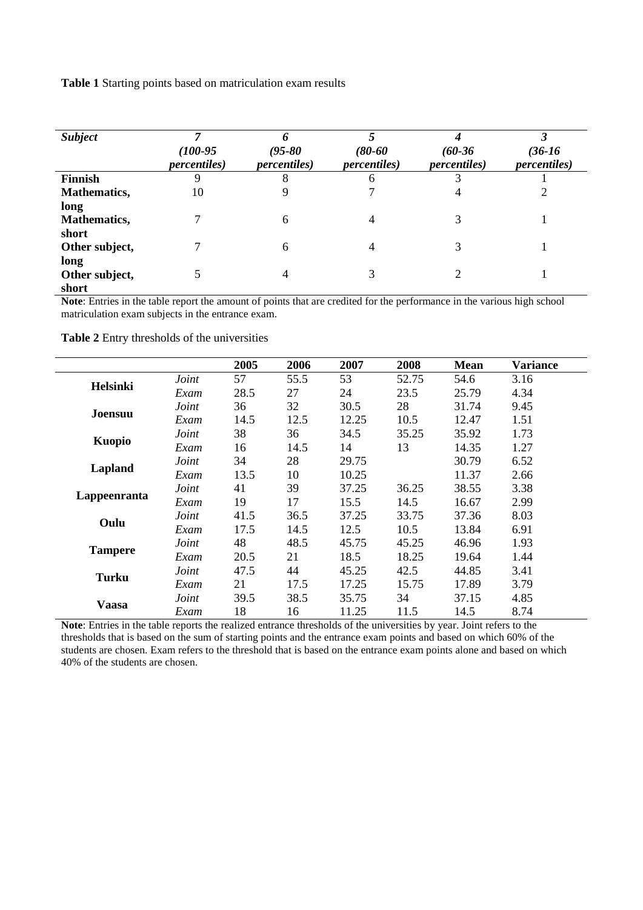**Table 1** Starting points based on matriculation exam results

| <b>Subject</b>          | $(100-95)$<br><i>percentiles</i> ) | $(95 - 80)$<br><i>percentiles</i> ) | $(80 - 60)$<br><i>percentiles</i> ) | $(60-36)$<br><i>percentiles</i> ) | $(36-16)$<br><i>percentiles</i> ) |
|-------------------------|------------------------------------|-------------------------------------|-------------------------------------|-----------------------------------|-----------------------------------|
| <b>Finnish</b>          | 9                                  | 8                                   | 6                                   |                                   |                                   |
| <b>Mathematics,</b>     | 10                                 |                                     |                                     | 4                                 |                                   |
| long                    |                                    |                                     |                                     |                                   |                                   |
| <b>Mathematics,</b>     |                                    | 6                                   | 4                                   | 3                                 |                                   |
| short                   |                                    |                                     |                                     |                                   |                                   |
| Other subject,          |                                    | 6                                   | 4                                   | 3                                 |                                   |
| long                    |                                    |                                     |                                     |                                   |                                   |
| Other subject,<br>short |                                    |                                     | 3                                   |                                   |                                   |

**Note**: Entries in the table report the amount of points that are credited for the performance in the various high school matriculation exam subjects in the entrance exam.

|                 |       | 2005 | 2006 | 2007  | 2008  | <b>Mean</b> | Variance |
|-----------------|-------|------|------|-------|-------|-------------|----------|
| <b>Helsinki</b> | Joint | 57   | 55.5 | 53    | 52.75 | 54.6        | 3.16     |
|                 | Exam  | 28.5 | 27   | 24    | 23.5  | 25.79       | 4.34     |
|                 | Joint | 36   | 32   | 30.5  | 28    | 31.74       | 9.45     |
| Joensuu         | Exam  | 14.5 | 12.5 | 12.25 | 10.5  | 12.47       | 1.51     |
|                 | Joint | 38   | 36   | 34.5  | 35.25 | 35.92       | 1.73     |
| Kuopio          | Exam  | 16   | 14.5 | 14    | 13    | 14.35       | 1.27     |
|                 | Joint | 34   | 28   | 29.75 |       | 30.79       | 6.52     |
| Lapland         | Exam  | 13.5 | 10   | 10.25 |       | 11.37       | 2.66     |
|                 | Joint | 41   | 39   | 37.25 | 36.25 | 38.55       | 3.38     |
| Lappeenranta    | Exam  | 19   | 17   | 15.5  | 14.5  | 16.67       | 2.99     |
| Oulu            | Joint | 41.5 | 36.5 | 37.25 | 33.75 | 37.36       | 8.03     |
|                 | Exam  | 17.5 | 14.5 | 12.5  | 10.5  | 13.84       | 6.91     |
|                 | Joint | 48   | 48.5 | 45.75 | 45.25 | 46.96       | 1.93     |
| <b>Tampere</b>  | Exam  | 20.5 | 21   | 18.5  | 18.25 | 19.64       | 1.44     |
|                 | Joint | 47.5 | 44   | 45.25 | 42.5  | 44.85       | 3.41     |
| Turku           | Exam  | 21   | 17.5 | 17.25 | 15.75 | 17.89       | 3.79     |
| <b>Vaasa</b>    | Joint | 39.5 | 38.5 | 35.75 | 34    | 37.15       | 4.85     |
|                 | Exam  | 18   | 16   | 11.25 | 11.5  | 14.5        | 8.74     |

**Note**: Entries in the table reports the realized entrance thresholds of the universities by year. Joint refers to the thresholds that is based on the sum of starting points and the entrance exam points and based on which 60% of the students are chosen. Exam refers to the threshold that is based on the entrance exam points alone and based on which 40% of the students are chosen.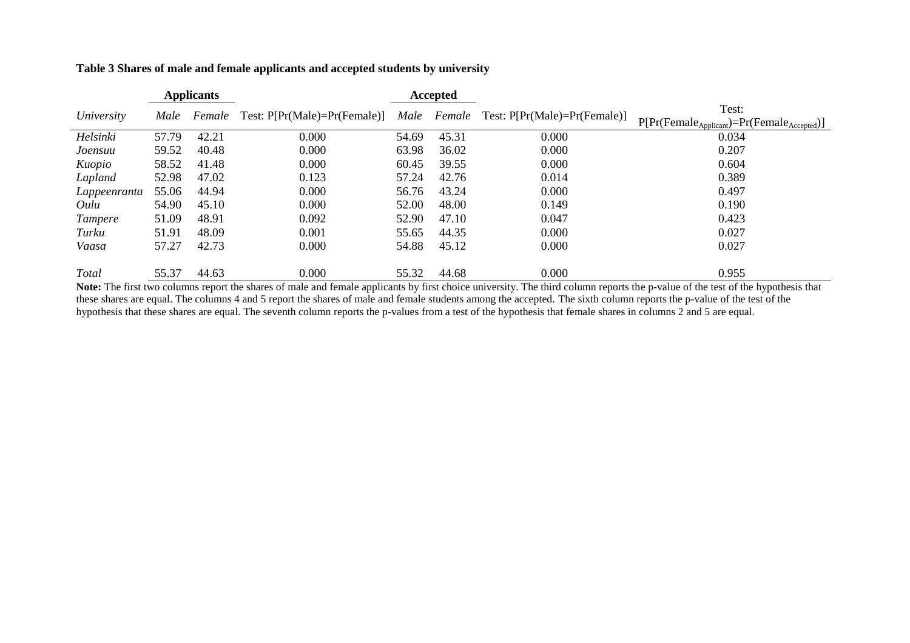**Table 3 Shares of male and female applicants and accepted students by university**

|                |       | <b>Applicants</b> |                                | Accepted |       |                                                 |                                                              |
|----------------|-------|-------------------|--------------------------------|----------|-------|-------------------------------------------------|--------------------------------------------------------------|
| University     | Male  | Female            | Test: $P[Pr(Male)=Pr(Female)]$ |          |       | <i>Male Female</i> Test: P[Pr(Male)=Pr(Female)] | Test:<br>$P[Pr(Female_{Application})=Pr(Female_{Accepted})]$ |
| Helsinki       | 57.79 | 42.21             | 0.000                          | 54.69    | 45.31 | 0.000                                           | 0.034                                                        |
| Joensuu        | 59.52 | 40.48             | 0.000                          | 63.98    | 36.02 | 0.000                                           | 0.207                                                        |
| Kuopio         | 58.52 | 41.48             | 0.000                          | 60.45    | 39.55 | 0.000                                           | 0.604                                                        |
| Lapland        | 52.98 | 47.02             | 0.123                          | 57.24    | 42.76 | 0.014                                           | 0.389                                                        |
| Lappeenranta   | 55.06 | 44.94             | 0.000                          | 56.76    | 43.24 | 0.000                                           | 0.497                                                        |
| Oulu           | 54.90 | 45.10             | 0.000                          | 52.00    | 48.00 | 0.149                                           | 0.190                                                        |
| <i>Tampere</i> | 51.09 | 48.91             | 0.092                          | 52.90    | 47.10 | 0.047                                           | 0.423                                                        |
| Turku          | 51.91 | 48.09             | 0.001                          | 55.65    | 44.35 | 0.000                                           | 0.027                                                        |
| Vaasa          | 57.27 | 42.73             | 0.000                          | 54.88    | 45.12 | 0.000                                           | 0.027                                                        |
| Total          | 55.37 | 44.63             | 0.000                          | 55.32    | 44.68 | 0.000                                           | 0.955                                                        |

Note: The first two columns report the shares of male and female applicants by first choice university. The third column reports the p-value of the test of the hypothesis that these shares are equal. The columns 4 and 5 report the shares of male and female students among the accepted. The sixth column reports the p-value of the test of the test of the hypothesis that these shares are equal. The seventh column reports the p-values from a test of the hypothesis that female shares in columns 2 and 5 are equal.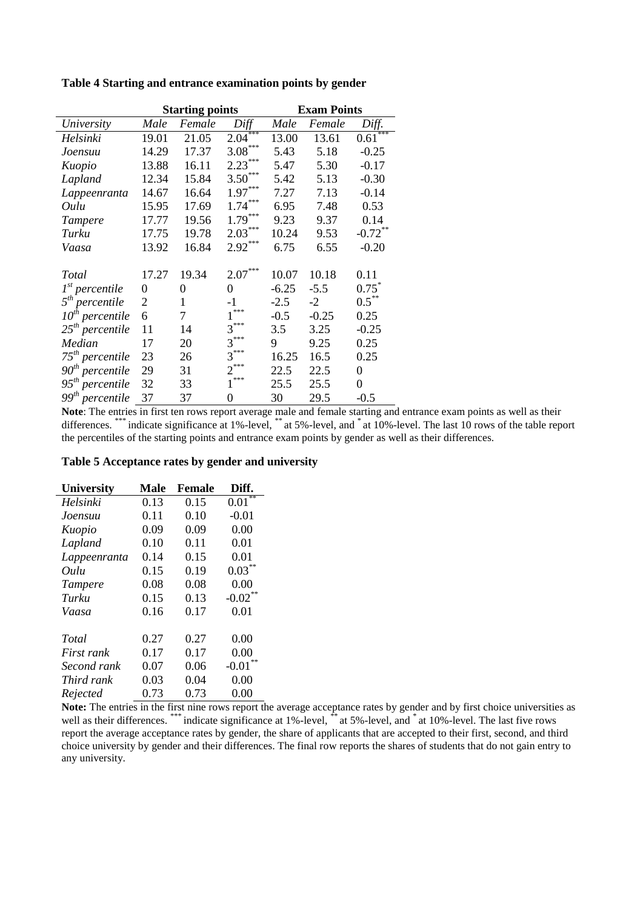|                      |                | <b>Starting points</b> |             |         | <b>Exam Points</b> |             |  |  |
|----------------------|----------------|------------------------|-------------|---------|--------------------|-------------|--|--|
| University           | Male           | Female                 | Diff        | Male    | Female             | Diff.       |  |  |
| Helsinki             | 19.01          | 21.05                  | ***<br>2.04 | 13.00   | 13.61              | ***<br>0.61 |  |  |
| Joensuu              | 14.29          | 17.37                  | $3.08***$   | 5.43    | 5.18               | $-0.25$     |  |  |
| Kuopio               | 13.88          | 16.11                  | $2.23***$   | 5.47    | 5.30               | $-0.17$     |  |  |
| Lapland              | 12.34          | 15.84                  | $3.50***$   | 5.42    | 5.13               | $-0.30$     |  |  |
| Lappeenranta         | 14.67          | 16.64                  | $1.97***$   | 7.27    | 7.13               | $-0.14$     |  |  |
| Oulu                 | 15.95          | 17.69                  | $1.74***$   | 6.95    | 7.48               | 0.53        |  |  |
| <b>Tampere</b>       | 17.77          | 19.56                  | $1.79***$   | 9.23    | 9.37               | 0.14        |  |  |
| Turku                | 17.75          | 19.78                  | $2.03***$   | 10.24   | 9.53               | $-0.72$ **  |  |  |
| Vaasa                | 13.92          | 16.84                  | $2.92***$   | 6.75    | 6.55               | $-0.20$     |  |  |
|                      |                |                        |             |         |                    |             |  |  |
| Total                | 17.27          | 19.34                  | $2.07***$   | 10.07   | 10.18              | 0.11        |  |  |
| $1st$ percentile     | 0              | 0                      | 0           | $-6.25$ | $-5.5$             | $0.75^*$    |  |  |
| $5th$ percentile     | $\overline{2}$ | 1                      | -1          | $-2.5$  | $-2$               | $0.5^{**}$  |  |  |
| $10^{th}$ percentile | 6              | 7                      | ***         | $-0.5$  | $-0.25$            | 0.25        |  |  |
| $25th$ percentile    | 11             | 14                     | $3***$      | 3.5     | 3.25               | $-0.25$     |  |  |
| Median               | 17             | 20                     | $3***$      | 9       | 9.25               | 0.25        |  |  |
| $75^{th}$ percentile | 23             | 26                     | 3           | 16.25   | 16.5               | 0.25        |  |  |
| $90th$ percentile    | 29             | 31                     | $2^{***}$   | 22.5    | 22.5               | $\theta$    |  |  |
| $95th$ percentile    | 32             | 33                     | $***$       | 25.5    | 25.5               | 0           |  |  |
| $99th$ percentile    | 37             | 37                     | 0           | 30      | 29.5               | $-0.5$      |  |  |

#### **Table 4 Starting and entrance examination points by gender**

**Note**: The entries in first ten rows report average male and female starting and entrance exam points as well as their differences. \*\*\*\* indicate significance at 1%-level, \*\* at 5%-level, and \* at 10%-level. The last 10 rows of the table report the percentiles of the starting points and entrance exam points by gender as well as their differences.

#### **Table 5 Acceptance rates by gender and university**

| <b>University</b> | Male | Female | Diff.       |
|-------------------|------|--------|-------------|
| Helsinki          | 0.13 | 0.15   | $*$<br>0.01 |
| Joensuu           | 0.11 | 0.10   | $-0.01$     |
| Kuopio            | 0.09 | 0.09   | 0.00        |
| Lapland           | 0.10 | 0.11   | 0.01        |
| Lappeenranta      | 0.14 | 0.15   | 0.01        |
| Oulu              | 0.15 | 0.19   | 0.03        |
| <b>Tampere</b>    | 0.08 | 0.08   | 0.00        |
| Turku             | 0.15 | 0.13   | $-0.02$     |
| Vaasa             | 0.16 | 0.17   | 0.01        |
|                   |      |        |             |
| Total             | 0.27 | 0.27   | 0.00        |
| First rank        | 0.17 | 0.17   | 0.00        |
| Second rank       | 0.07 | 0.06   | $-0.01$     |
| Third rank        | 0.03 | 0.04   | 0.00        |
| Rejected          | 0.73 | 0.73   | 0.00        |

**Note:** The entries in the first nine rows report the average acceptance rates by gender and by first choice universities as well as their differences. \*\*\*\* indicate significance at 1%-level, \*\*\* at 5%-level, and \*\* at 10%-level. The last five rows report the average acceptance rates by gender, the share of applicants that are accepted to their first, second, and third choice university by gender and their differences. The final row reports the shares of students that do not gain entry to any university.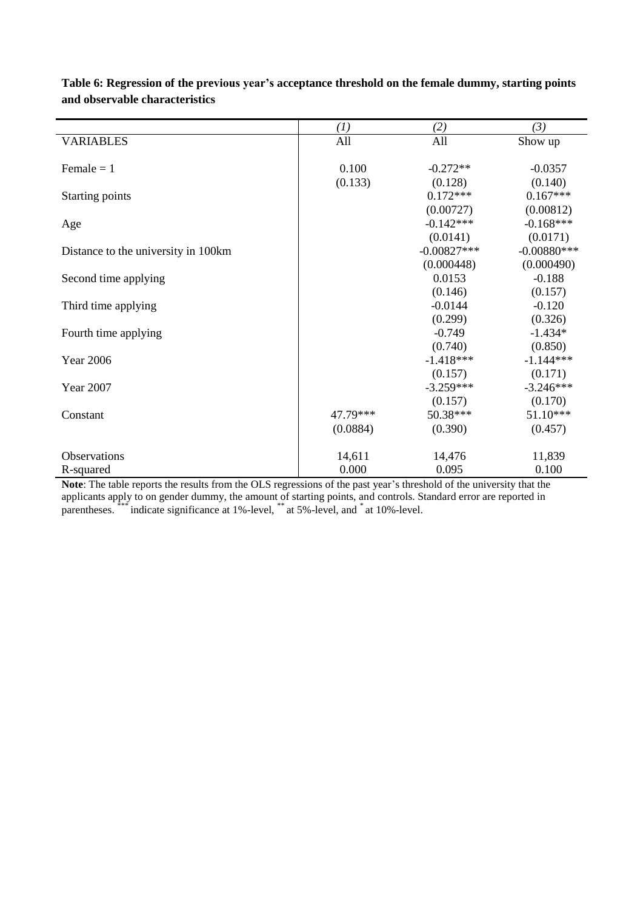|                                     | $\left(1\right)$ | (2)           | (3)           |
|-------------------------------------|------------------|---------------|---------------|
| <b>VARIABLES</b>                    | All              | All           | Show up       |
|                                     |                  |               |               |
| Female $= 1$                        | 0.100            | $-0.272**$    | $-0.0357$     |
|                                     | (0.133)          | (0.128)       | (0.140)       |
| Starting points                     |                  | $0.172***$    | $0.167***$    |
|                                     |                  | (0.00727)     | (0.00812)     |
| Age                                 |                  | $-0.142***$   | $-0.168***$   |
|                                     |                  | (0.0141)      | (0.0171)      |
| Distance to the university in 100km |                  | $-0.00827***$ | $-0.00880***$ |
|                                     |                  | (0.000448)    | (0.000490)    |
| Second time applying                |                  | 0.0153        | $-0.188$      |
|                                     |                  | (0.146)       | (0.157)       |
| Third time applying                 |                  | $-0.0144$     | $-0.120$      |
|                                     |                  | (0.299)       | (0.326)       |
| Fourth time applying                |                  | $-0.749$      | $-1.434*$     |
|                                     |                  | (0.740)       | (0.850)       |
| <b>Year 2006</b>                    |                  | $-1.418***$   | $-1.144***$   |
|                                     |                  | (0.157)       | (0.171)       |
| <b>Year 2007</b>                    |                  | $-3.259***$   | $-3.246***$   |
|                                     |                  | (0.157)       | (0.170)       |
| Constant                            | 47.79***         | 50.38***      | $51.10***$    |
|                                     | (0.0884)         | (0.390)       | (0.457)       |
|                                     |                  |               |               |
| <b>Observations</b>                 | 14,611           | 14,476        | 11,839        |
| R-squared                           | 0.000            | 0.095         | 0.100         |

**Table 6: Regression of the previous year's acceptance threshold on the female dummy, starting points and observable characteristics**

**Note**: The table reports the results from the OLS regressions of the past year's threshold of the university that the applicants apply to on gender dummy, the amount of starting points, and controls. Standard error are reported in parentheses. \*\*\*\* indicate significance at 1%-level, \*\* at 5%-level, and \* at 10%-level.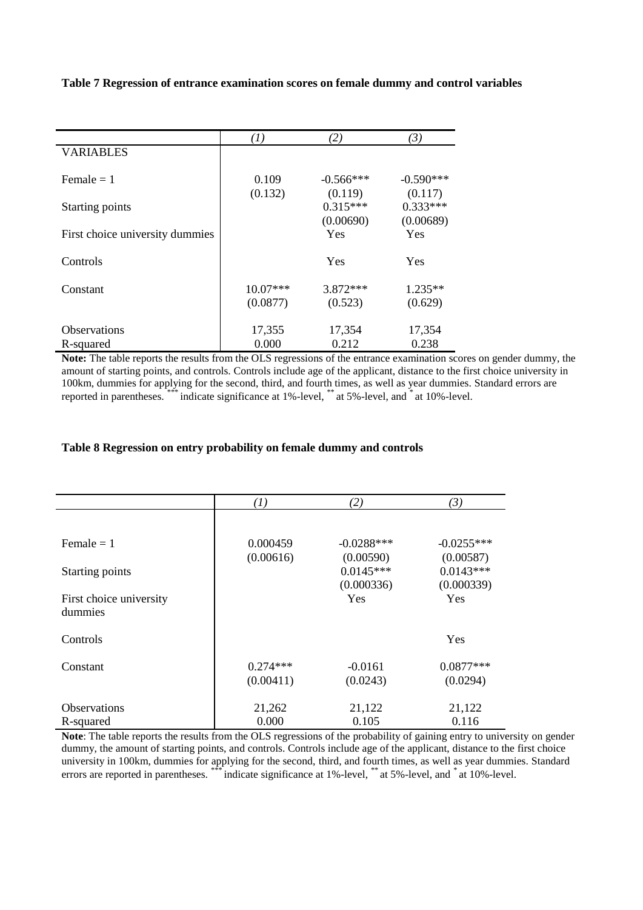#### **Table 7 Regression of entrance examination scores on female dummy and control variables**

|                                 | $\left( I\right)$ | (2)                   | (3)                   |
|---------------------------------|-------------------|-----------------------|-----------------------|
| <b>VARIABLES</b>                |                   |                       |                       |
| Female $= 1$                    | 0.109             | $-0.566***$           | $-0.590***$           |
| <b>Starting points</b>          | (0.132)           | (0.119)<br>$0.315***$ | (0.117)<br>$0.333***$ |
|                                 |                   | (0.00690)             | (0.00689)             |
| First choice university dummies |                   | Yes                   | <b>Yes</b>            |
| Controls                        |                   | Yes                   | Yes                   |
| Constant                        | $10.07***$        | $3.872***$            | $1.235**$             |
|                                 | (0.0877)          | (0.523)               | (0.629)               |
| Observations                    | 17,355            | 17,354                | 17,354                |
| R-squared                       | 0.000             | 0.212                 | 0.238                 |

**Note:** The table reports the results from the OLS regressions of the entrance examination scores on gender dummy, the amount of starting points, and controls. Controls include age of the applicant, distance to the first choice university in 100km, dummies for applying for the second, third, and fourth times, as well as year dummies. Standard errors are reported in parentheses. \*\*\* indicate significance at 1%-level, \*\* at 5%-level, and \* at 10%-level.

#### **Table 8 Regression on entry probability on female dummy and controls**

|                         | $^{(1)}$   | (2)          | (3)          |
|-------------------------|------------|--------------|--------------|
|                         |            |              |              |
| Female $= 1$            | 0.000459   | $-0.0288***$ | $-0.0255***$ |
|                         | (0.00616)  | (0.00590)    | (0.00587)    |
| Starting points         |            | $0.0145***$  | $0.0143***$  |
|                         |            | (0.000336)   | (0.000339)   |
| First choice university |            | Yes          | <b>Yes</b>   |
| dummies                 |            |              |              |
| Controls                |            |              | Yes          |
| Constant                | $0.274***$ | $-0.0161$    | $0.0877***$  |
|                         | (0.00411)  | (0.0243)     | (0.0294)     |
| <b>Observations</b>     | 21,262     | 21,122       | 21,122       |
| R-squared               | 0.000      | 0.105        | 0.116        |

**Note**: The table reports the results from the OLS regressions of the probability of gaining entry to university on gender dummy, the amount of starting points, and controls. Controls include age of the applicant, distance to the first choice university in 100km, dummies for applying for the second, third, and fourth times, as well as year dummies. Standard errors are reported in parentheses. \*\*\* indicate significance at 1%-level, \*\* at 5%-level, and \* at 10%-level.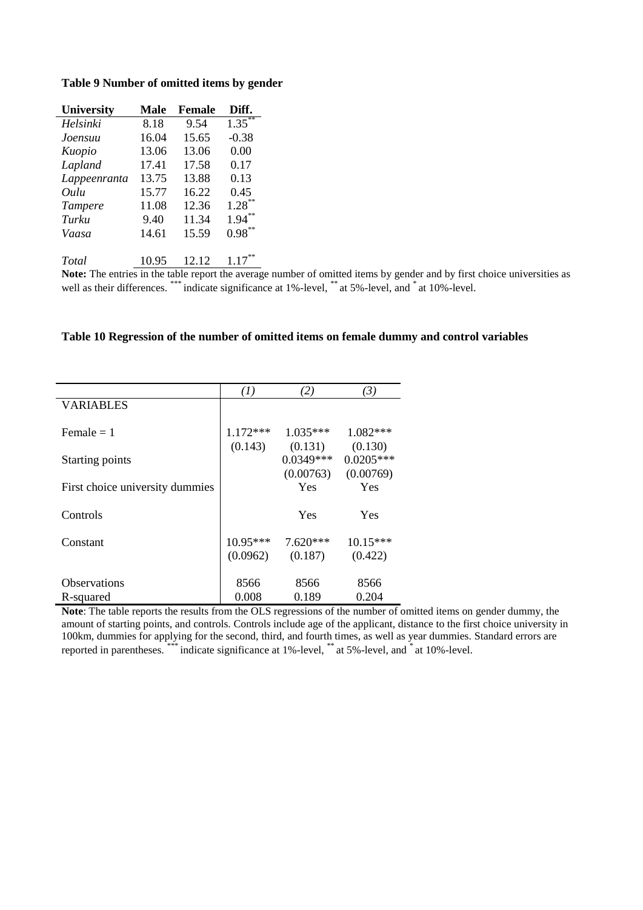|  |  | Table 9 Number of omitted items by gender |  |  |  |
|--|--|-------------------------------------------|--|--|--|
|--|--|-------------------------------------------|--|--|--|

| <b>University</b> | Male  | <b>Female</b> | Diff.                |
|-------------------|-------|---------------|----------------------|
| Helsinki          | 8.18  | 9.54          | $1.35$ <sup>**</sup> |
| Joensuu           | 16.04 | 15.65         | $-0.38$              |
| Kuopio            | 13.06 | 13.06         | 0.00                 |
| Lapland           | 17.41 | 17.58         | 0.17                 |
| Lappeenranta      | 13.75 | 13.88         | 0.13                 |
| Oulu              | 15.77 | 16.22         | 0.45                 |
| Tampere           | 11.08 | 12.36         | $1.28***$            |
| Turku             | 9.40  | 11.34         | 1.94                 |
| Vaasa             | 14.61 | 15.59         | 0.98                 |
| Total             | 10.95 | 12.12         | 117                  |

**Note:** The entries in the table report the average number of omitted items by gender and by first choice universities as well as their differences. \*\*\* indicate significance at 1%-level, \*\* at 5%-level, and \* at 10%-level.

#### **Table 10 Regression of the number of omitted items on female dummy and control variables**

|                                 | $\left( 1\right)$ | (2)         | $\left(3\right)$ |
|---------------------------------|-------------------|-------------|------------------|
| <b>VARIABLES</b>                |                   |             |                  |
|                                 |                   |             |                  |
| $Female = 1$                    | $1.172***$        | $1.035***$  | $1.082***$       |
|                                 | (0.143)           | (0.131)     | (0.130)          |
| Starting points                 |                   | $0.0349***$ | $0.0205***$      |
|                                 |                   | (0.00763)   | (0.00769)        |
| First choice university dummies |                   | <b>Yes</b>  | Yes              |
|                                 |                   |             |                  |
| Controls                        |                   | Yes         | Yes              |
|                                 |                   |             |                  |
| Constant                        | $10.95***$        | $7.620***$  | 10.15***         |
|                                 | (0.0962)          | (0.187)     | (0.422)          |
|                                 |                   |             |                  |
| Observations                    | 8566              | 8566        | 8566             |
| R-squared                       | 0.008             | 0.189       | 0.204            |

**Note**: The table reports the results from the OLS regressions of the number of omitted items on gender dummy, the amount of starting points, and controls. Controls include age of the applicant, distance to the first choice university in 100km, dummies for applying for the second, third, and fourth times, as well as year dummies. Standard errors are reported in parentheses. \*\*\*\*\*\*\*\*\* indicate significance at 1%-level, \*\*\*\*\*\*\*\*\*\*\* at 5%-level, and \*\*\*\*\* at 10%-level.